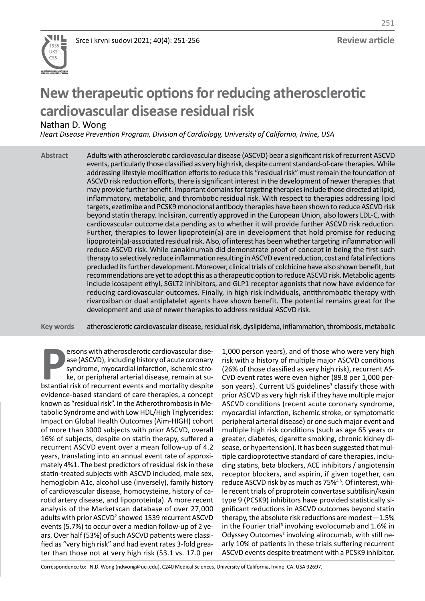# **New therapeutic options for reducing atherosclerotic cardiovascular disease residual risk**

Nathan D. Wong

*Heart Disease Prevention Program, Division of Cardiology, University of California, Irvine, USA*

Adults with atherosclerotic cardiovascular disease (ASCVD) bear a significant risk of recurrent ASCVD events, particularly those classified as very high risk, despite current standard-of-care therapies. While addressing lifestyle modification efforts to reduce this "residual risk" must remain the foundation of ASCVD risk reduction efforts, there is significant interest in the development of newer therapies that may provide further benefit. Important domains for targeting therapies include those directed at lipid, inflammatory, metabolic, and thrombotic residual risk. With respect to therapies addressing lipid targets, ezetimibe and PCSK9 monoclonal antibody therapies have been shown to reduce ASCVD risk beyond statin therapy. Inclisiran, currently approved in the European Union, also lowers LDL-C, with cardiovascular outcome data pending as to whether it will provide further ASCVD risk reduction. Further, therapies to lower lipoprotein(a) are in development that hold promise for reducing lipoprotein(a)-associated residual risk. Also, of interest has been whether targeting inflammation will reduce ASCVD risk. While canakinumab did demonstrate proof of concept in being the first such therapy to selectively reduce inflammation resulting in ASCVD event reduction, cost and fatal infections precluded its further development. Moreover, clinical trials of colchicine have also shown benefit, but recommendations are yet to adopt this as a therapeutic option to reduce ASCVD risk. Metabolic agents include icosapent ethyl, SGLT2 inhibitors, and GLP1 receptor agonists that now have evidence for reducing cardiovascular outcomes. Finally, in high risk individuals, antithrombotic therapy with rivaroxiban or dual antiplatelet agents have shown benefit. The potential remains great for the development and use of newer therapies to address residual ASCVD risk. **Abstract**

atherosclerotic cardiovascular disease, residual risk, dyslipidema, inflammation, thrombosis, metabolic **Key words**

**PERION SERVISTED SERVISTED SERVISTED SERVISTED SERVISTED SERVISTED STANDARD SYNCHORE, or peripheral arterial disease, remain at substantial risk of recurrent events and mortality despite** ersons with atherosclerotic cardiovascular disease (ASCVD), including history of acute coronary syndrome, myocardial infarction, ischemic stroke, or peripheral arterial disease, remain at suevidence-based standard of care therapies, a concept known as "residual risk". In the Atherothrombosis in Metabolic Syndrome and with Low HDL/High Triglycerides: Impact on Global Health Outcomes (Aim-HIGH) cohort of more than 3000 subjects with prior ASCVD, overall 16% of subjects, despite on statin therapy, suffered a recurrent ASCVD event over a mean follow-up of 4.2 years, translating into an annual event rate of approximately 4%1. The best predictors of residual risk in these statin-treated subjects with ASCVD included, male sex, hemoglobin A1c, alcohol use (inversely), family history of cardiovascular disease, homocysteine, history of carotid artery disease, and lipoprotein(a). A more recent analysis of the Marketscan database of over 27,000 adults with prior ASCVD<sup>2</sup> showed 1539 recurrent ASCVD events (5.7%) to occur over a median follow-up of 2 years. Over half (53%) of such ASCVD patients were classified as "very high risk" and had event rates 3-fold greater than those not at very high risk (53.1 vs. 17.0 per

1,000 person years), and of those who were very high risk with a history of multiple major ASCVD conditions (26% of those classified as very high risk), recurrent AS-CVD event rates were even higher (89.8 per 1,000 person years). Current US guidelines<sup>3</sup> classify those with prior ASCVD as very high risk if they have multiple major ASCVD conditions (recent acute coronary syndrome, myocardial infarction, ischemic stroke, or symptomatic peripheral arterial disease) or one such major event and multiple high risk conditions (such as age 65 years or greater, diabetes, cigarette smoking, chronic kidney disease, or hypertension). It has been suggested that multiple cardioprotective standard of care therapies, including statins, beta blockers, ACE inhibitors / angiotensin receptor blockers, and aspirin, if given together, can reduce ASCVD risk by as much as 75%<sup>4,5</sup>. Of interest, while recent trials of proprotein convertase subtilisin/kexin type 9 (PCSK9) inhibitors have provided statistically significant reductions in ASCVD outcomes beyond statin therapy, the absolute risk reductions are modest—1.5% in the Fourier trial<sup>6</sup> involving evolocumab and 1.6% in Odyssey Outcomes<sup>7</sup> involving alirocumab, with still nearly 10% of patients in these trials suffering recurrent ASCVD events despite treatment with a PCSK9 inhibitor.

Correspondence to: N.D. Wong (ndwong@uci.edu), C240 Medical Sciences, University of California, Irvine, CA, USA 92697.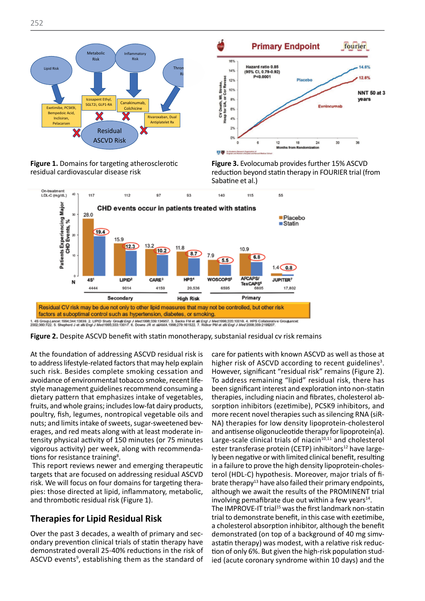

**Figure 1.** Domains for targeting atherosclerotic residual cardiovascular disease risk



**Figure 3.** Evolocumab provides further 15% ASCVD reduction beyond statin therapy in FOURIER trial (from Sabatine et al.)



1. 4S Group Lancet. 1994;344:13839. 2. LIPID Study Group! Engl J Med.1998;392:134957. 3. Sacks FM et all Engl J Med.1996;335:10019. 4. HPS Collaborative Groupancet<br>2002:380:722. 5. Shepherd J et all Engl J Med.1995;333:130

**Figure 2.** Despite ASCVD benefit with statin monotherapy, substanial residual cv risk remains

At the foundation of addressing ASCVD residual risk is to address lifestyle-related factors that may help explain such risk. Besides complete smoking cessation and avoidance of environmental tobacco smoke, recent lifestyle management guidelines recommend consuming a dietary pattern that emphasizes intake of vegetables, fruits, and whole grains; includes low-fat dairy products, poultry, fish, legumes, nontropical vegetable oils and nuts; and limits intake of sweets, sugar-sweetened beverages, and red meats along with at least moderate intensity physical activity of 150 minutes (or 75 minutes vigorous activity) per week, along with recommendations for resistance training<sup>8</sup>.

 This report reviews newer and emerging therapeutic targets that are focused on addressing residual ASCVD risk. We will focus on four domains for targeting therapies: those directed at lipid, inflammatory, metabolic, and thrombotic residual risk (Figure 1).

## **Therapies for Lipid Residual Risk**

Over the past 3 decades, a wealth of primary and secondary prevention clinical trials of statin therapy have demonstrated overall 25-40% reductions in the risk of ASCVD events<sup>9</sup>, establishing them as the standard of

ied (acute coronary syndrome within 10 days) and the care for patients with known ASCVD as well as those at higher risk of ASCVD according to recent guidelines<sup>3</sup>. However, significant "residual risk" remains (Figure 2). To address remaining "lipid" residual risk, there has been significant interest and exploration into non-statin therapies, including niacin and fibrates, cholesterol absorption inhibitors (ezetimibe), PCSK9 inhibitors, and more recent novel therapies such as silencing RNA (siR-NA) therapies for low density lipoprotein-cholesterol and antisense oligonucleotide therapy for lipoprotein(a). Large-scale clinical trials of niacin $10,11$  and cholesterol ester transferase protein (CETP) inhibitors<sup>12</sup> have largely been negative or with limited clinical benefit, resulting in a failure to prove the high density lipoprotein-cholesterol (HDL-C) hypothesis. Moreover, major trials of fibrate therapy<sup>13</sup> have also failed their primary endpoints, although we await the results of the PROMINENT trial involving pemafibrate due out within a few years $14$ . The IMPROVE-IT trial<sup>15</sup> was the first landmark non-statin trial to demonstrate benefit, in this case with ezetimibe, a cholesterol absorption inhibitor, although the benefit demonstrated (on top of a background of 40 mg simvastatin therapy) was modest, with a relative risk reduction of only 6%. But given the high-risk population stud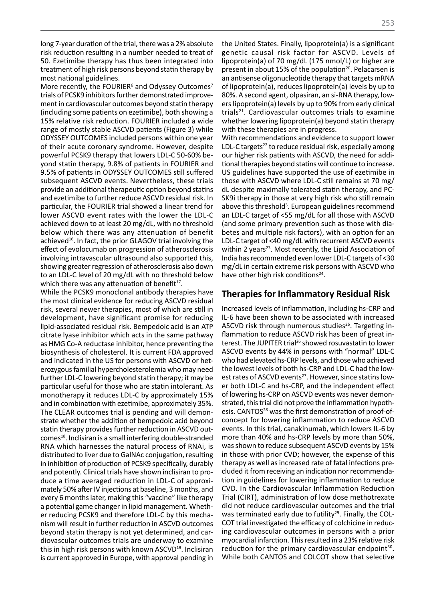long 7-year duration of the trial, there was a 2% absolute risk reduction resulting in a number needed to treat of 50. Ezetimibe therapy has thus been integrated into treatment of high risk persons beyond statin therapy by most national guidelines.

More recently, the FOURIER<sup>6</sup> and Odyssey Outcomes<sup>7</sup> trials of PCSK9 inhibitors further demonstrated improvement in cardiovascular outcomes beyond statin therapy (including some patients on ezetimibe), both showing a 15% relative risk reduction. FOURIER included a wide range of mostly stable ASCVD patients (Figure 3) while ODYSSEY OUTCOMES included persons within one year of their acute coronary syndrome. However, despite powerful PCSK9 therapy that lowers LDL-C 50-60% beyond statin therapy, 9.8% of patients in FOURIER and 9.5% of patients in ODYSSEY OUTCOMES still suffered subsequent ASCVD events. Nevertheless, these trials provide an additional therapeutic option beyond statins and ezetimibe to further reduce ASCVD residual risk. In particular, the FOURIER trial showed a linear trend for lower ASCVD event rates with the lower the LDL-C achieved down to at least 20 mg/dL, with no threshold below which there was any attenuation of benefit achieved<sup>16</sup>. In fact, the prior GLAGOV trial involving the effect of evolocumab on progression of atherosclerosis involving intravascular ultrasound also supported this, showing greater regression of atherosclerosis also down to an LDL-C level of 20 mg/dL with no threshold below which there was any attenuation of benefit<sup>17</sup>.

While the PCSK9 monoclonal antibody therapies have the most clinical evidence for reducing ASCVD residual risk, several newer therapies, most of which are still in development, have significant promise for reducing lipid-associated residual risk. Bempedoic acid is an ATP citrate lyase inhibitor which acts in the same pathway as HMG Co-A reductase inhibitor, hence preventing the biosynthesis of cholesterol. It is current FDA approved and indicated in the US for persons with ASCVD or heterozygous familial hypercholesterolemia who may need further LDL-C lowering beyond statin therapy; it may be particular useful for those who are statin intolerant. As monotherapy it reduces LDL-C by approximately 15% and in combination with ezetimibe, approximately 35%. The CLEAR outcomes trial is pending and will demonstrate whether the addition of bempedoic acid beyond statin therapy provides further reduction in ASCVD outcomes18. Inclisiran is a small interfering double-stranded RNA which harnesses the natural process of RNAi, is distributed to liver due to GalNAc conjugation, resulting in inhibition of production of PCSK9 specifically, durably and potently. Clinical trials have shown inclisiran to produce a time averaged reduction in LDL-C of approximately 50% after IV injections at baseline, 3 months, and every 6 months later, making this "vaccine" like therapy a potential game changer in lipid management. Whether reducing PCSK9 and therefore LDL-C by this mechanism will result in further reduction in ASCVD outcomes beyond statin therapy is not yet determined, and cardiovascular outcomes trials are underway to examine this in high risk persons with known ASCVD<sup>19</sup>. Inclisiran is current approved in Europe, with approval pending in the United States. Finally, lipoprotein(a) is a significant genetic causal risk factor for ASCVD. Levels of lipoprotein(a) of 70 mg/dL (175 nmol/L) or higher are present in about 15% of the population<sup>20</sup>. Pelacarsen is an antisense oligonucleotide therapy that targets mRNA of lipoprotein(a), reduces lipoprotein(a) levels by up to 80%. A second agent, olpasiran, an si-RNA therapy, lowers lipoprotein(a) levels by up to 90% from early clinical trials<sup>21</sup>. Cardiovascular outcomes trials to examine whether lowering lipoprotein(a) beyond statin therapy with these therapies are in progress.

With recommendations and evidence to support lower LDL-C targets<sup>22</sup> to reduce residual risk, especially among our higher risk patients with ASCVD, the need for additional therapies beyond statins will continue to increase. US guidelines have supported the use of ezetimibe in those with ASCVD where LDL-C still remains at 70 mg/ dL despite maximally tolerated statin therapy, and PC-SK9i therapy in those at very high risk who still remain above this threshold<sup>3</sup>. European guidelines recommend an LDL-C target of <55 mg/dL for all those with ASCVD (and some primary prevention such as those with diabetes and multiple risk factors), with an option for an LDL-C target of <40 mg/dL with recurrent ASCVD events within 2 years<sup>23</sup>. Most recently, the Lipid Association of India has recommended even lower LDL-C targets of <30 mg/dL in certain extreme risk persons with ASCVD who have other high risk conditions<sup>24</sup>.

### **Therapies for Inflammatory Residual Risk**

Increased levels of inflammation, including hs-CRP and IL-6 have been shown to be associated with increased ASCVD risk through numerous studies<sup>25</sup>. Targeting inflammation to reduce ASCVD risk has been of great interest. The JUPITER trial<sup>26</sup> showed rosuvastatin to lower ASCVD events by 44% in persons with "normal" LDL-C who had elevated hs-CRP levels, and those who achieved the lowest levels of both hs-CRP and LDL-C had the lowest rates of ASCVD events<sup>27</sup>. However, since statins lower both LDL-C and hs-CRP, and the independent effect of lowering hs-CRP on ASCVD events was never demonstrated, this trial did not prove the inflammation hypothesis. CANTOS<sup>28</sup> was the first demonstration of proof-ofconcept for lowering inflammation to reduce ASCVD events. In this trial, canakinumab, which lowers IL-6 by more than 40% and hs-CRP levels by more than 50%, was shown to reduce subsequent ASCVD events by 15% in those with prior CVD; however, the expense of this therapy as well as increased rate of fatal infections precluded it from receiving an indication nor recommendation in guidelines for lowering inflammation to reduce CVD. In the Cardiovascular Inflammation Reduction Trial (CIRT), administration of low dose methotrexate did not reduce cardiovascular outcomes and the trial was terminated early due to futility<sup>29</sup>. Finally, the COL-COT trial investigated the efficacy of colchicine in reducing cardiovascular outcomes in persons with a prior myocardial infarction. This resulted in a 23% relative risk reduction for the primary cardiovascular endpoint<sup>30</sup>. While both CANTOS and COLCOT show that selective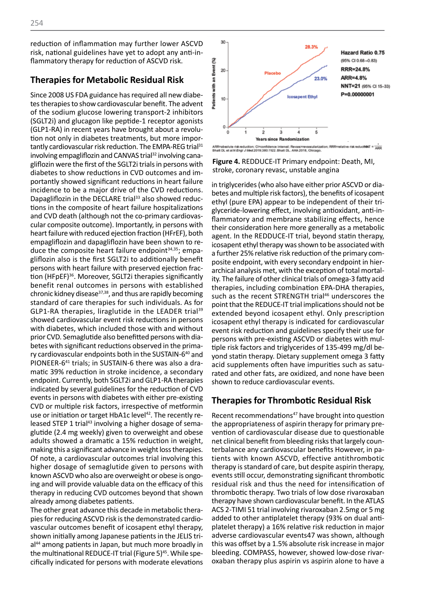254

reduction of inflammation may further lower ASCVD risk, national guidelines have yet to adopt any anti-inflammatory therapy for reduction of ASCVD risk.

# **Therapies for Metabolic Residual Risk**

Since 2008 US FDA guidance has required all new diabetes therapies to show cardiovascular benefit. The advent of the sodium glucose lowering transport-2 inhibitors (SGLT2i) and glucagon like peptide-1 receptor agonists (GLP1-RA) in recent years have brought about a revolution not only in diabetes treatments, but more importantly cardiovascular risk reduction. The EMPA-REG trial<sup>31</sup> involving empagliflozin and CANVAS trial<sup>32</sup> involving canagliflozin were the first of the SGLT2i trials in persons with diabetes to show reductions in CVD outcomes and importantly showed significant reductions in heart failure incidence to be a major drive of the CVD reductions. Dapagliflozin in the DECLARE trial<sup>33</sup> also showed reductions in the composite of heart failure hospitalizations and CVD death (although not the co-primary cardiovascular composite outcome). Importantly, in persons with heart failure with reduced ejection fraction (HFrEF), both empagliflozin and dapagliflozin have been shown to reduce the composite heart failure endpoint $34,35$ ; empagliflozin also is the first SGLT2i to additionally benefit persons with heart failure with preserved ejection fraction (HFpEF)<sup>36</sup>. Moreover, SGLT2i therapies significantly benefit renal outcomes in persons with established chronic kidney disease $37,38$ , and thus are rapidly becoming standard of care therapies for such individuals. As for GLP1-RA therapies, liraglutide in the LEADER trial<sup>39</sup> showed cardiovascular event risk reductions in persons with diabetes, which included those with and without prior CVD. Semaglutide also benefitted persons with diabetes with significant reductions observed in the primary cardiovascular endpoints both in the SUSTAIN-640 and PIONEER-641 trials; in SUSTAIN-6 there was also a dramatic 39% reduction in stroke incidence, a secondary endpoint. Currently, both SGLT2i and GLP1-RA therapies indicated by several guidelines for the reduction of CVD events in persons with diabetes with either pre-existing CVD or multiple risk factors, irrespective of metformin use or initiation or target HbA1c level<sup>42</sup>. The recently released STEP 1 trial<sup>43</sup> involving a higher dosage of semaglutide (2.4 mg weekly) given to overweight and obese adults showed a dramatic a 15% reduction in weight, making this a significant advance in weight loss therapies. Of note, a cardiovascular outcomes trial involving this higher dosage of semaglutide given to persons with known ASCVD who also are overweight or obese is ongoing and will provide valuable data on the efficacy of this therapy in reducing CVD outcomes beyond that shown already among diabetes patients.

The other great advance this decade in metabolic therapies for reducing ASCVD risk is the demonstrated cardiovascular outcomes benefit of icosapent ethyl therapy, shown initially among Japanese patients in the JELIS trial<sup>44</sup> among patients in Japan, but much more broadly in the multinational REDUCE-IT trial (Figure 5) $45$ . While specifically indicated for persons with moderate elevations





**Figure 4.** REDDUCE-IT Primary endpoint: Death, MI, stroke, coronary revasc, unstable angina

in triglycerides (who also have either prior ASCVD or diabetes and multiple risk factors), the benefits of icosapent ethyl (pure EPA) appear to be independent of their triglyceride-lowering effect, involving antioxidant, anti-inflammatory and membrane stabilizing effects, hence their consideration here more generally as a metabolic agent. In the REDDUCE-IT trial, beyond statin therapy, icosapent ethyl therapy was shown to be associated with a further 25% relative risk reduction of the primary composite endpoint, with every secondary endpoint in hierarchical analysis met, with the exception of total mortality. The failure of other clinical trials of omega-3 fatty acid therapies, including combination EPA-DHA therapies, such as the recent STRENGTH trial<sup>46</sup> underscores the point that the REDUCE-IT trial implications should not be extended beyond icosapent ethyl. Only prescription icosapent ethyl therapy is indicated for cardiovascular event risk reduction and guidelines specify their use for persons with pre-existing ASCVD or diabetes with multiple risk factors and triglycerides of 135-499 mg/dl beyond statin therapy. Dietary supplement omega 3 fatty acid supplements often have impurities such as saturated and other fats, are oxidized, and none have been shown to reduce cardiovascular events.

# **Therapies for Thrombotic Residual Risk**

Recent recommendations<sup>47</sup> have brought into question the appropriateness of aspirin therapy for primary prevention of cardiovascular disease due to questionable net clinical benefit from bleeding risks that largely counterbalance any cardiovascular benefits However, in patients with known ASCVD, effective antithrombotic therapy is standard of care, but despite aspirin therapy, events still occur, demonstrating significant thrombotic residual risk and thus the need for intensification of thrombotic therapy. Two trials of low dose rivaroxaban therapy have shown cardiovascular benefit. In the ATLAS ACS 2-TIMI 51 trial involving rivaroxaban 2.5mg or 5 mg added to other antiplatelet therapy (93% on dual antiplatelet therapy) a 16% relative risk reduction in major adverse cardiovascular events47 was shown, although this was offset by a 1.5% absolute risk increase in major bleeding. COMPASS, however, showed low-dose rivaroxaban therapy plus aspirin vs aspirin alone to have a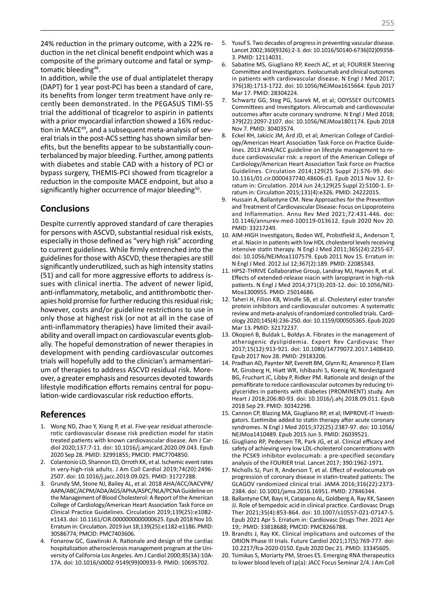24% reduction in the primary outcome, with a 22% reduction in the net clinical benefit endpoint which was a composite of the primary outcome and fatal or symptomatic bleeding48.

In addition, while the use of dual antiplatelet therapy (DAPT) for 1 year post-PCI has been a standard of care, its benefits from longer term treatment have only recently been demonstrated. In the PEGASUS TIMI-55 trial the additional of ticagrelor to aspirin in patients with a prior myocardial infarction showed a 16% reduction in MACE<sup>49</sup>, and a subsequent meta-analysis of several trials in the post-ACS setting has shown similar benefits, but the benefits appear to be substantially counterbalanced by major bleeding. Further, among patients with diabetes and stable CAD with a history of PCI or bypass surgery, THEMIS-PCI showed from ticagrelor a reduction in the composite MACE endpoint, but also a significantly higher occurrence of major bleeding<sup>50</sup>.

## **Conclusions**

Despite currently approved standard of care therapies for persons with ASCVD, substantial residual risk exists, especially in those defined as "very high risk" according to current guidelines. While firmly entrenched into the guidelines for those with ASCVD, these therapies are still significantly underutilized, such as high intensity statins (51) and call for more aggressive efforts to address issues with clinical inertia. The advent of newer lipid, anti-inflammatory, metabolic, and antithrombotic therapies hold promise for further reducing this residual risk; however, costs and/or guideline restrictions to use in only those at highest risk (or not at all in the case of anti-inflammatory therapies) have limited their availability and overall impact on cardiovascular events globally. The hopeful demonstration of newer therapies in development with pending cardiovascular outcomes trials will hopefully add to the clinician's armamentarium of therapies to address ASCVD residual risk. Moreover, a greater emphasis and resources devoted towards lifestyle modification efforts remains central for population-wide cardiovascular risk reduction efforts.

#### **References**

- 1. Wong ND, Zhao Y, Xiang P, et al. Five-year residual atherosclerotic cardiovascular disease risk prediction model for statin treated patients with known cardiovascular disease. Am J Cardiol 2020;137:7-11. doi: 10.1016/j.amjcard.2020.09.043. Epub 2020 Sep 28. PMID: 32991855; PMCID: PMC7704850.
- 2. Colantonio LD, Shannon ED, Orroth KK, et al. Ischemic event rates in very-high-risk adults. J Am Coll Cardiol 2019;74(20):2496- 2507. doi: 10.1016/j.jacc.2019.09.025. PMID: 31727288.
- 3. Grundy SM, Stone NJ, Bailey AL, et al. 2018 AHA/ACC/AACVPR/ AAPA/ABC/ACPM/ADA/AGS/APhA/ASPC/NLA/PCNA Guideline on the Management of Blood Cholesterol: A Report of the American College of Cardiology/American Heart Association Task Force on Clinical Practice Guidelines. Circulation 2019;139(25):e1082 e1143. doi: 10.1161/CIR.0000000000000625. Epub 2018 Nov 10. Erratum in: Circulation. 2019 Jun 18;139(25):e1182-e1186. PMID: 30586774; PMCID: PMC7403606.
- 4. Fonarow GC, Gawlinski A. Rationale and design of the cardiac hospitalization atherosclerosis management program at the University of California Los Angeles. Am J Cardiol 2000;85(3A):10A-17A. doi: 10.1016/s0002-9149(99)00933-9. PMID: 10695702.
- 5. Yusuf S. Two decades of progress in preventing vascular disease. Lancet 2002;360(9326):2-3. doi: 10.1016/S0140-6736(02)09358- 3. PMID: 12114031.
- 6. Sabatine MS, Giugliano RP, Keech AC, et al; FOURIER Steering Committee and Investigators. Evolocumab and clinical outcomes in patients with cardiovascular disease. N Engl J Med 2017; 376(18):1713-1722. doi: 10.1056/NEJMoa1615664. Epub 2017 Mar 17. PMID: 28304224.
- 7. Schwartz GG, Steg PG, Szarek M, et al; ODYSSEY OUTCOMES Committees and Investigators. Alirocumab and cardiovascular outcomes after acute coronary syndrome. N Engl J Med 2018; 379(22):2097-2107. doi: 10.1056/NEJMoa1801174. Epub 2018 Nov 7. PMID: 30403574.
- 8. Eckel RH, Jakicic JM, Ard JD, et al; American College of Cardiology/American Heart Association Task Force on Practice Guidelines. 2013 AHA/ACC guideline on lifestyle management to reduce cardiovascular risk: a report of the American College of Cardiology/American Heart Association Task Force on Practice Guidelines. Circulation 2014;129(25 Suppl 2):S76-99. doi: 10.1161/01.cir.0000437740.48606.d1. Epub 2013 Nov 12. Erratum in: Circulation. 2014 Jun 24;129(25 Suppl 2):S100-1. Erratum in: Circulation 2015;131(4):e326. PMID: 24222015.
- 9. Hussain A, Ballantyne CM. New Approaches for the Prevention and Treatment of Cardiovascular Disease: Focus on Lipoproteins and Inflammation. Annu Rev Med 2021;72:431-446. doi: 10.1146/annurev-med-100119-013612. Epub 2020 Nov 20. PMID: 33217249.
- 10. AIM-HIGH Investigators, Boden WE, Probstfield JL, Anderson T, et al. Niacin in patients with low HDL cholesterol levels receiving intensive statin therapy. N Engl J Med 2011;365(24):2255-67. doi: 10.1056/NEJMoa1107579. Epub 2011 Nov 15. Erratum in: N Engl J Med. 2012 Jul 12;367(2):189. PMID: 22085343.
- 11. HPS2-THRIVE Collaborative Group, Landray MJ, Haynes R, et al. Effects of extended-release niacin with laropiprant in high-risk patients. N Engl J Med 2014;371(3):203-12. doi: 10.1056/NEJ-Moa1300955. PMID: 25014686.
- 12. Taheri H, Filion KB, Windle SB, et al. Cholesteryl ester transfer protein inhibitors and cardiovascular outcomes: A systematic review and meta-analysis of randomized controlled trials. Cardiology 2020;145(4):236-250. doi: 10.1159/000505365. Epub 2020 Mar 13. PMID: 32172237.
- 13. Okopień B, Buldak L, Bołdys A. Fibrates in the management of atherogenic dyslipidemia. Expert Rev Cardiovasc Ther 2017;15(12):913-921. doi: 10.1080/14779072.2017.1408410. Epub 2017 Nov 28. PMID: 29183206.
- 14. Pradhan AD, Paynter NP, Everett BM, Glynn RJ, Amarenco P, Elam M, Ginsberg H, Hiatt WR, Ishibashi S, Koenig W, Nordestgaard BG, Fruchart JC, Libby P, Ridker PM. Rationale and design of the pemafibrate to reduce cardiovascular outcomes by reducing triglycerides in patients with diabetes (PROMINENT) study. Am Heart J 2018;206:80-93. doi: 10.1016/j.ahj.2018.09.011. Epub 2018 Sep 29. PMID: 30342298.
- 15. Cannon CP, Blazing MA, Giugliano RP, et al; IMPROVE-IT Investigators. Ezetimibe added to statin therapy after acute coronary syndromes. N Engl J Med 2015;372(25):2387-97. doi: 10.1056/ NEJMoa1410489. Epub 2015 Jun 3. PMID: 26039521.
- 16. Giugliano RP, Pedersen TR, Park JG, et al. Clinical efficacy and safety of achieving very low LDL-cholesterol concentrations with the PCSK9 inhibitor evolocumab: a pre-specified secondary analysis of the FOURIER trial. Lancet 2017; 390:1962-1971.
- 17. Nicholls SJ, Puri R, Anderson T, et al. Effect of evolocumab on progression of coronary disease in statin-treated patients: The GLAGOV randomized clinical trial. JAMA 2016;316(22):2373- 2384. doi: 10.1001/jama.2016.16951. PMID: 27846344.
- 18. Ballantyne CM, Bays H, Catapano AL, Goldberg A, Ray KK, Saseen JJ. Role of bempedoic acid in clinical practice. Cardiovasc Drugs Ther 2021;35(4):853-864. doi: 10.1007/s10557-021-07147-5. Epub 2021 Apr 5. Erratum in: Cardiovasc Drugs Ther. 2021 Apr 19;: PMID: 33818688; PMCID: PMC8266788.
- 19. Brandts J, Ray KK. Clinical implications and outcomes of the ORION Phase III trials. Future Cardiol 2021;17(5):769-777. doi: 10.2217/fca-2020-0150. Epub 2020 Dec 21. PMID: 33345605.
- 20. Tsimikas S, Moriarty PM, Stroes ES. Emerging RNA therapeutics to lower blood levels of Lp(a): JACC Focus Seminar 2/4. J Am Coll